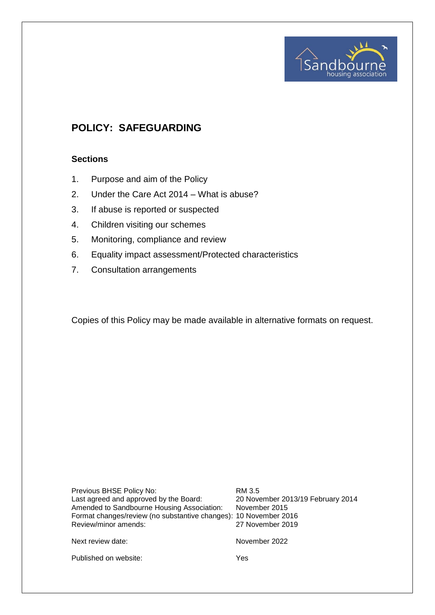

# **POLICY: SAFEGUARDING**

## **Sections**

- 1. Purpose and aim of the Policy
- 2. Under the Care Act 2014 What is abuse?
- 3. If abuse is reported or suspected
- 4. Children visiting our schemes
- 5. Monitoring, compliance and review
- 6. Equality impact assessment/Protected characteristics
- 7. Consultation arrangements

Copies of this Policy may be made available in alternative formats on request.

| Previous BHSE Policy No:<br>Last agreed and approved by the Board:<br>Amended to Sandbourne Housing Association:<br>Format changes/review (no substantive changes): 10 November 2016<br>Review/minor amends: | RM 3.5<br>20 November 2013/19 February 2014<br>November 2015<br>27 November 2019 |
|--------------------------------------------------------------------------------------------------------------------------------------------------------------------------------------------------------------|----------------------------------------------------------------------------------|
| Next review date:                                                                                                                                                                                            | November 2022                                                                    |

Published on website: Yes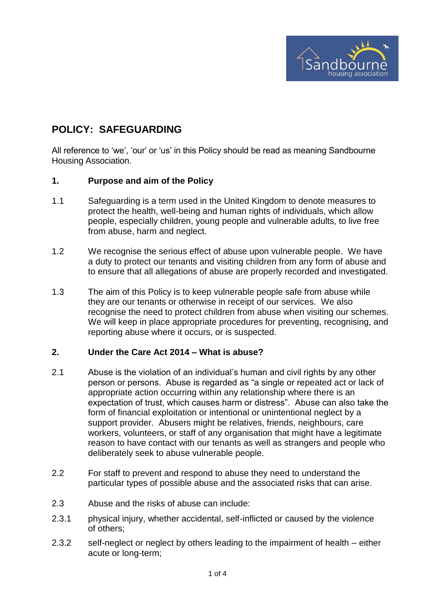

# **POLICY: SAFEGUARDING**

All reference to 'we', 'our' or 'us' in this Policy should be read as meaning Sandbourne Housing Association.

### **1. Purpose and aim of the Policy**

- 1.1 Safeguarding is a term used in the United Kingdom to denote measures to protect the health, well-being and human rights of individuals, which allow people, especially children, young people and vulnerable adults, to live free from abuse, harm and neglect.
- 1.2 We recognise the serious effect of abuse upon vulnerable people. We have a duty to protect our tenants and visiting children from any form of abuse and to ensure that all allegations of abuse are properly recorded and investigated.
- 1.3 The aim of this Policy is to keep vulnerable people safe from abuse while they are our tenants or otherwise in receipt of our services. We also recognise the need to protect children from abuse when visiting our schemes. We will keep in place appropriate procedures for preventing, recognising, and reporting abuse where it occurs, or is suspected.

## **2. Under the Care Act 2014 – What is abuse?**

- 2.1 Abuse is the violation of an individual's human and civil rights by any other person or persons. Abuse is regarded as "a single or repeated act or lack of appropriate action occurring within any relationship where there is an expectation of trust, which causes harm or distress". Abuse can also take the form of financial exploitation or intentional or unintentional neglect by a support provider. Abusers might be relatives, friends, neighbours, care workers, volunteers, or staff of any organisation that might have a legitimate reason to have contact with our tenants as well as strangers and people who deliberately seek to abuse vulnerable people.
- 2.2 For staff to prevent and respond to abuse they need to understand the particular types of possible abuse and the associated risks that can arise.
- 2.3 Abuse and the risks of abuse can include:
- 2.3.1 physical injury, whether accidental, self-inflicted or caused by the violence of others;
- 2.3.2 self-neglect or neglect by others leading to the impairment of health either acute or long-term;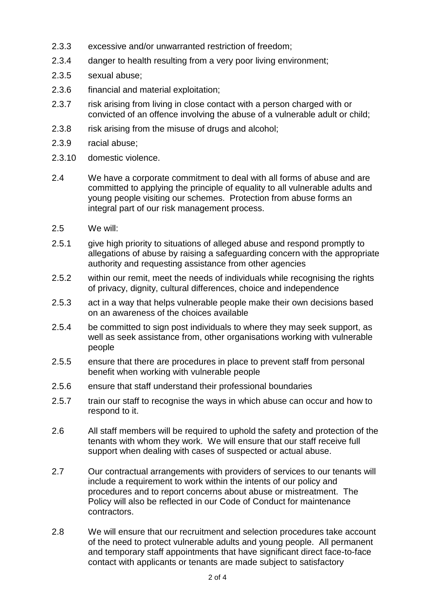- 2.3.3 excessive and/or unwarranted restriction of freedom;
- 2.3.4 danger to health resulting from a very poor living environment;
- 2.3.5 sexual abuse;
- 2.3.6 financial and material exploitation;
- 2.3.7 risk arising from living in close contact with a person charged with or convicted of an offence involving the abuse of a vulnerable adult or child;
- 2.3.8 risk arising from the misuse of drugs and alcohol;
- 2.3.9 racial abuse;
- 2.3.10 domestic violence.
- 2.4 We have a corporate commitment to deal with all forms of abuse and are committed to applying the principle of equality to all vulnerable adults and young people visiting our schemes. Protection from abuse forms an integral part of our risk management process.
- 2.5 We will:
- 2.5.1 give high priority to situations of alleged abuse and respond promptly to allegations of abuse by raising a safeguarding concern with the appropriate authority and requesting assistance from other agencies
- 2.5.2 within our remit, meet the needs of individuals while recognising the rights of privacy, dignity, cultural differences, choice and independence
- 2.5.3 act in a way that helps vulnerable people make their own decisions based on an awareness of the choices available
- 2.5.4 be committed to sign post individuals to where they may seek support, as well as seek assistance from, other organisations working with vulnerable people
- 2.5.5 ensure that there are procedures in place to prevent staff from personal benefit when working with vulnerable people
- 2.5.6 ensure that staff understand their professional boundaries
- 2.5.7 train our staff to recognise the ways in which abuse can occur and how to respond to it.
- 2.6 All staff members will be required to uphold the safety and protection of the tenants with whom they work. We will ensure that our staff receive full support when dealing with cases of suspected or actual abuse.
- 2.7 Our contractual arrangements with providers of services to our tenants will include a requirement to work within the intents of our policy and procedures and to report concerns about abuse or mistreatment. The Policy will also be reflected in our Code of Conduct for maintenance contractors.
- 2.8 We will ensure that our recruitment and selection procedures take account of the need to protect vulnerable adults and young people. All permanent and temporary staff appointments that have significant direct face-to-face contact with applicants or tenants are made subject to satisfactory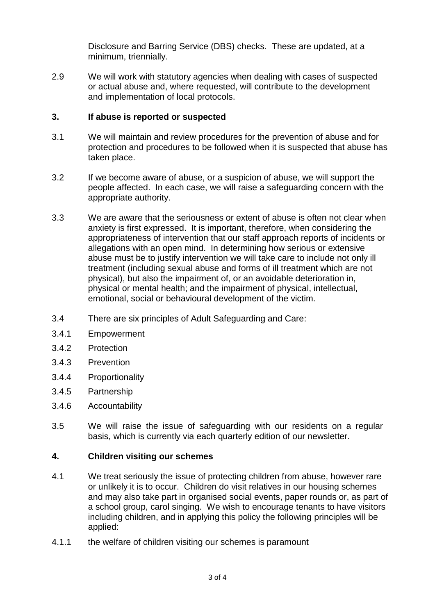Disclosure and Barring Service (DBS) checks. These are updated, at a minimum, triennially.

2.9 We will work with statutory agencies when dealing with cases of suspected or actual abuse and, where requested, will contribute to the development and implementation of local protocols.

## **3. If abuse is reported or suspected**

- 3.1 We will maintain and review procedures for the prevention of abuse and for protection and procedures to be followed when it is suspected that abuse has taken place.
- 3.2 If we become aware of abuse, or a suspicion of abuse, we will support the people affected. In each case, we will raise a safeguarding concern with the appropriate authority.
- 3.3 We are aware that the seriousness or extent of abuse is often not clear when anxiety is first expressed. It is important, therefore, when considering the appropriateness of intervention that our staff approach reports of incidents or allegations with an open mind. In determining how serious or extensive abuse must be to justify intervention we will take care to include not only ill treatment (including sexual abuse and forms of ill treatment which are not physical), but also the impairment of, or an avoidable deterioration in, physical or mental health; and the impairment of physical, intellectual, emotional, social or behavioural development of the victim.
- 3.4 There are six principles of Adult Safeguarding and Care:
- 3.4.1 Empowerment
- 3.4.2 Protection
- 3.4.3 Prevention
- 3.4.4 Proportionality
- 3.4.5 Partnership
- 3.4.6 Accountability
- 3.5 We will raise the issue of safeguarding with our residents on a regular basis, which is currently via each quarterly edition of our newsletter.

### **4. Children visiting our schemes**

- 4.1 We treat seriously the issue of protecting children from abuse, however rare or unlikely it is to occur. Children do visit relatives in our housing schemes and may also take part in organised social events, paper rounds or, as part of a school group, carol singing. We wish to encourage tenants to have visitors including children, and in applying this policy the following principles will be applied:
- 4.1.1 the welfare of children visiting our schemes is paramount